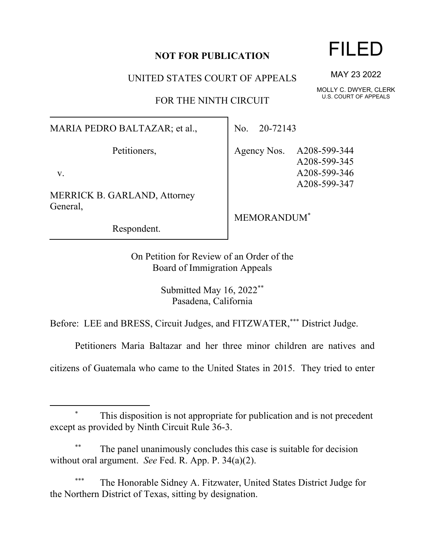## **NOT FOR PUBLICATION**

UNITED STATES COURT OF APPEALS

FOR THE NINTH CIRCUIT

MARIA PEDRO BALTAZAR; et al.,

Petitioners,

v.

MERRICK B. GARLAND, Attorney General,

Respondent.

No. 20-72143

Agency Nos. A208-599-344 A208-599-345 A208-599-346 A208-599-347

MEMORANDUM\*

On Petition for Review of an Order of the Board of Immigration Appeals

> Submitted May 16, 2022\*\* Pasadena, California

Before: LEE and BRESS, Circuit Judges, and FITZWATER,\*\*\* District Judge.

Petitioners Maria Baltazar and her three minor children are natives and

citizens of Guatemala who came to the United States in 2015. They tried to enter

The panel unanimously concludes this case is suitable for decision without oral argument. *See* Fed. R. App. P. 34(a)(2).

The Honorable Sidney A. Fitzwater, United States District Judge for the Northern District of Texas, sitting by designation.

## FILED

MAY 23 2022

MOLLY C. DWYER, CLERK U.S. COURT OF APPEALS

This disposition is not appropriate for publication and is not precedent except as provided by Ninth Circuit Rule 36-3.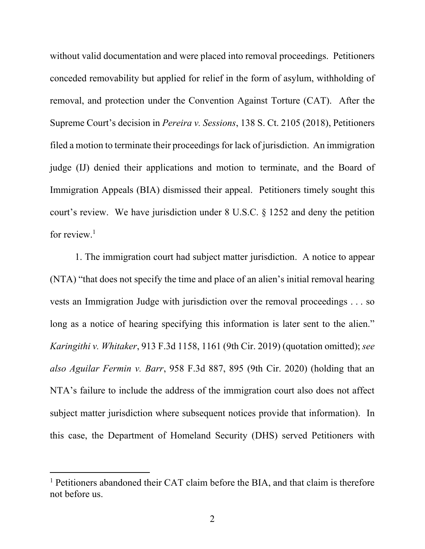without valid documentation and were placed into removal proceedings. Petitioners conceded removability but applied for relief in the form of asylum, withholding of removal, and protection under the Convention Against Torture (CAT). After the Supreme Court's decision in *Pereira v. Sessions*, 138 S. Ct. 2105 (2018), Petitioners filed a motion to terminate their proceedings for lack of jurisdiction. An immigration judge (IJ) denied their applications and motion to terminate, and the Board of Immigration Appeals (BIA) dismissed their appeal. Petitioners timely sought this court's review. We have jurisdiction under 8 U.S.C. § 1252 and deny the petition for review.<sup>1</sup>

1. The immigration court had subject matter jurisdiction. A notice to appear (NTA) "that does not specify the time and place of an alien's initial removal hearing vests an Immigration Judge with jurisdiction over the removal proceedings . . . so long as a notice of hearing specifying this information is later sent to the alien." *Karingithi v. Whitaker*, 913 F.3d 1158, 1161 (9th Cir. 2019) (quotation omitted); *see also Aguilar Fermin v. Barr*, 958 F.3d 887, 895 (9th Cir. 2020) (holding that an NTA's failure to include the address of the immigration court also does not affect subject matter jurisdiction where subsequent notices provide that information). In this case, the Department of Homeland Security (DHS) served Petitioners with

<sup>&</sup>lt;sup>1</sup> Petitioners abandoned their CAT claim before the BIA, and that claim is therefore not before us.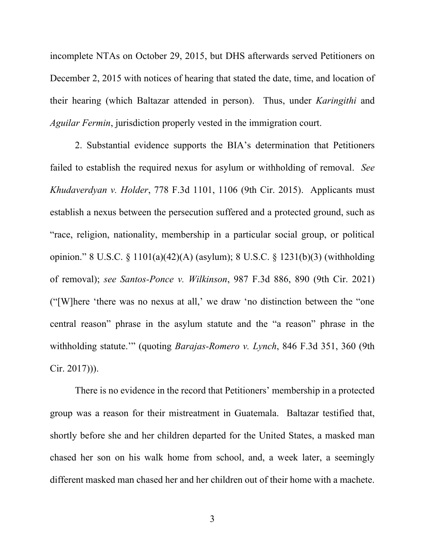incomplete NTAs on October 29, 2015, but DHS afterwards served Petitioners on December 2, 2015 with notices of hearing that stated the date, time, and location of their hearing (which Baltazar attended in person). Thus, under *Karingithi* and *Aguilar Fermin*, jurisdiction properly vested in the immigration court.

2. Substantial evidence supports the BIA's determination that Petitioners failed to establish the required nexus for asylum or withholding of removal. *See Khudaverdyan v. Holder*, 778 F.3d 1101, 1106 (9th Cir. 2015). Applicants must establish a nexus between the persecution suffered and a protected ground, such as "race, religion, nationality, membership in a particular social group, or political opinion." 8 U.S.C. § 1101(a)(42)(A) (asylum); 8 U.S.C. § 1231(b)(3) (withholding of removal); *see Santos-Ponce v. Wilkinson*, 987 F.3d 886, 890 (9th Cir. 2021) ("[W]here 'there was no nexus at all,' we draw 'no distinction between the "one central reason" phrase in the asylum statute and the "a reason" phrase in the withholding statute.'" (quoting *Barajas-Romero v. Lynch*, 846 F.3d 351, 360 (9th Cir. 2017))).

There is no evidence in the record that Petitioners' membership in a protected group was a reason for their mistreatment in Guatemala. Baltazar testified that, shortly before she and her children departed for the United States, a masked man chased her son on his walk home from school, and, a week later, a seemingly different masked man chased her and her children out of their home with a machete.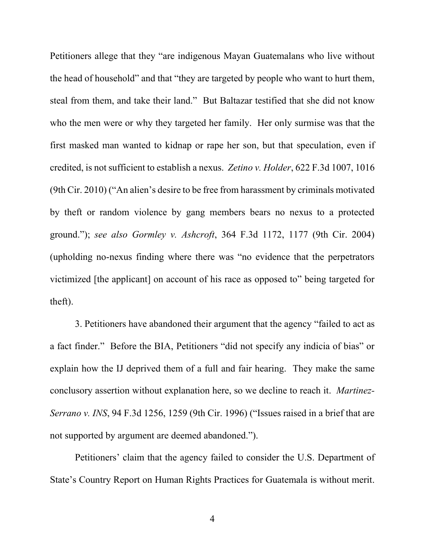Petitioners allege that they "are indigenous Mayan Guatemalans who live without the head of household" and that "they are targeted by people who want to hurt them, steal from them, and take their land." But Baltazar testified that she did not know who the men were or why they targeted her family. Her only surmise was that the first masked man wanted to kidnap or rape her son, but that speculation, even if credited, is not sufficient to establish a nexus. *Zetino v. Holder*, 622 F.3d 1007, 1016 (9th Cir. 2010) ("An alien's desire to be free from harassment by criminals motivated by theft or random violence by gang members bears no nexus to a protected ground."); *see also Gormley v. Ashcroft*, 364 F.3d 1172, 1177 (9th Cir. 2004) (upholding no-nexus finding where there was "no evidence that the perpetrators victimized [the applicant] on account of his race as opposed to" being targeted for theft).

3. Petitioners have abandoned their argument that the agency "failed to act as a fact finder." Before the BIA, Petitioners "did not specify any indicia of bias" or explain how the IJ deprived them of a full and fair hearing. They make the same conclusory assertion without explanation here, so we decline to reach it. *Martinez-Serrano v. INS*, 94 F.3d 1256, 1259 (9th Cir. 1996) ("Issues raised in a brief that are not supported by argument are deemed abandoned.").

Petitioners' claim that the agency failed to consider the U.S. Department of State's Country Report on Human Rights Practices for Guatemala is without merit.